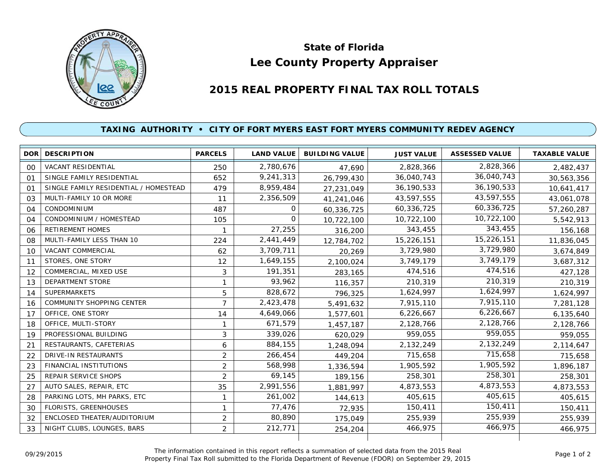

## **Lee County Property Appraiser State of Florida**

## **2015 REAL PROPERTY FINAL TAX ROLL TOTALS**

## **TAXING AUTHORITY • CITY OF FORT MYERS EAST FORT MYERS COMMUNITY REDEV AGENCY**

|                | <b>DOR DESCRIPTION</b>                | <b>PARCELS</b> | <b>LAND VALUE</b> | <b>BUILDING VALUE</b> | <b>JUST VALUE</b> | <b>ASSESSED VALUE</b> | <b>TAXABLE VALUE</b> |
|----------------|---------------------------------------|----------------|-------------------|-----------------------|-------------------|-----------------------|----------------------|
| 00             | <b>VACANT RESIDENTIAL</b>             | 250            | 2,780,676         | 47.690                | 2,828,366         | 2,828,366             | 2,482,437            |
| O <sub>1</sub> | SINGLE FAMILY RESIDENTIAL             | 652            | 9,241,313         | 26,799,430            | 36,040,743        | 36,040,743            | 30,563,356           |
| $^{\circ}$     | SINGLE FAMILY RESIDENTIAL / HOMESTEAD | 479            | 8,959,484         | 27,231,049            | 36,190,533        | 36,190,533            | 10,641,417           |
| 03             | MULTI-FAMILY 10 OR MORE               | 11             | 2,356,509         | 41,241,046            | 43,597,555        | 43,597,555            | 43,061,078           |
| 04             | CONDOMINIUM                           | 487            | 0                 | 60,336,725            | 60,336,725        | 60,336,725            | 57,260,287           |
| 04             | CONDOMINIUM / HOMESTEAD               | 105            | $\Omega$          | 10,722,100            | 10,722,100        | 10,722,100            | 5,542,913            |
| 06             | <b>RETIREMENT HOMES</b>               | 1              | 27,255            | 316,200               | 343,455           | 343,455               | 156,168              |
| 08             | MULTI-FAMILY LESS THAN 10             | 224            | 2,441,449         | 12,784,702            | 15,226,151        | 15,226,151            | 11,836,045           |
| 10             | VACANT COMMERCIAL                     | 62             | 3,709,711         | 20,269                | 3,729,980         | 3,729,980             | 3,674,849            |
| 11             | STORES, ONE STORY                     | 12             | 1,649,155         | 2,100,024             | 3,749,179         | 3,749,179             | 3,687,312            |
| 12             | COMMERCIAL, MIXED USE                 | 3              | 191,351           | 283,165               | 474,516           | 474,516               | 427,128              |
| 13             | DEPARTMENT STORE                      | 1              | 93,962            | 116,357               | 210,319           | 210,319               | 210,319              |
| 14             | <b>SUPERMARKETS</b>                   | 5              | 828,672           | 796,325               | 1,624,997         | 1,624,997             | 1,624,997            |
| 16             | <b>COMMUNITY SHOPPING CENTER</b>      | 7              | 2,423,478         | 5,491,632             | 7,915,110         | 7,915,110             | 7,281,128            |
| 17             | OFFICE, ONE STORY                     | 14             | 4,649,066         | 1,577,601             | 6,226,667         | 6,226,667             | 6,135,640            |
| 18             | OFFICE, MULTI-STORY                   |                | 671,579           | 1,457,187             | 2,128,766         | 2,128,766             | 2,128,766            |
| 19             | PROFESSIONAL BUILDING                 | 3              | 339,026           | 620,029               | 959,055           | 959,055               | 959,055              |
| 21             | RESTAURANTS, CAFETERIAS               | 6              | 884,155           | 1,248,094             | 2,132,249         | 2,132,249             | 2,114,647            |
| 22             | DRIVE-IN RESTAURANTS                  | $\overline{2}$ | 266,454           | 449,204               | 715,658           | 715,658               | 715,658              |
| 23             | <b>FINANCIAL INSTITUTIONS</b>         | $\overline{2}$ | 568,998           | 1,336,594             | 1,905,592         | 1,905,592             | 1,896,187            |
| 25             | <b>REPAIR SERVICE SHOPS</b>           | 2              | 69,145            | 189,156               | 258,301           | 258,301               | 258,301              |
| 27             | AUTO SALES, REPAIR, ETC               | 35             | 2,991,556         | 1,881,997             | 4,873,553         | 4,873,553             | 4,873,553            |
| 28             | PARKING LOTS, MH PARKS, ETC           | 1              | 261,002           | 144,613               | 405,615           | 405,615               | 405,615              |
| 30             | <b>FLORISTS, GREENHOUSES</b>          | 1              | 77,476            | 72,935                | 150,411           | 150,411               | 150,411              |
| 32             | ENCLOSED THEATER/AUDITORIUM           | $\overline{2}$ | 80,890            | 175,049               | 255,939           | 255,939               | 255,939              |
| 33             | NIGHT CLUBS, LOUNGES, BARS            | $\overline{2}$ | 212,771           | 254,204               | 466,975           | 466,975               | 466,975              |
|                |                                       |                |                   |                       |                   |                       |                      |

The information contained in this report reflects a summation of selected data from the 2015 Real Ine information contained in this report reflects a summation of selected data from the 2015 Real<br>Property Final Tax Roll submitted to the Florida Department of Revenue (FDOR) on September 29, 2015